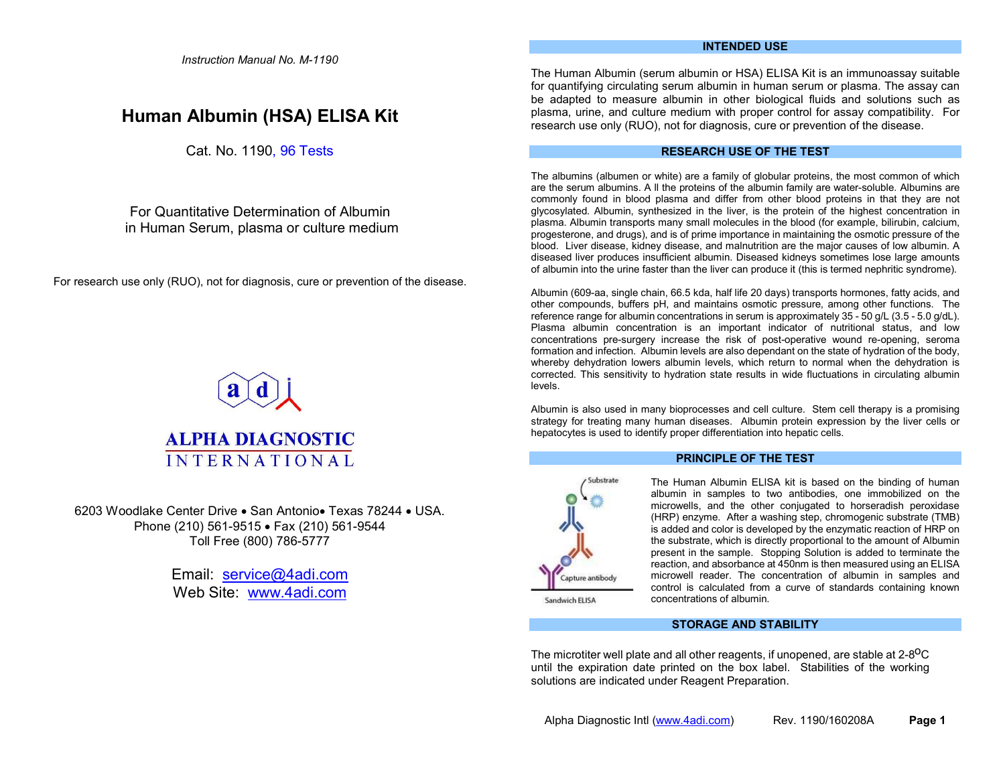Instruction Manual No. M-1190

# Human Albumin (HSA) ELISA Kit

Cat. No. 1190, 96 Tests

For Quantitative Determination of Albumin in Human Serum, plasma or culture medium

For research use only (RUO), not for diagnosis, cure or prevention of the disease.



6203 Woodlake Center Drive • San Antonio • Texas 78244 • USA. Phone (210) 561-9515 • Fax (210) 561-9544 Toll Free (800) 786-5777

> Email: service@4adi.com Web Site: www.4adi.com

# INTENDED USE

The Human Albumin (serum albumin or HSA) ELISA Kit is an immunoassay suitable for quantifying circulating serum albumin in human serum or plasma. The assay can be adapted to measure albumin in other biological fluids and solutions such as plasma, urine, and culture medium with proper control for assay compatibility. For research use only (RUO), not for diagnosis, cure or prevention of the disease.

# RESEARCH USE OF THE TEST

The albumins (albumen or white) are a family of globular proteins, the most common of which are the serum albumins. A ll the proteins of the albumin family are water-soluble. Albumins are commonly found in blood plasma and differ from other blood proteins in that they are not glycosylated. Albumin, synthesized in the liver, is the protein of the highest concentration in plasma. Albumin transports many small molecules in the blood (for example, bilirubin, calcium, progesterone, and drugs), and is of prime importance in maintaining the osmotic pressure of the blood. Liver disease, kidney disease, and malnutrition are the major causes of low albumin. A diseased liver produces insufficient albumin. Diseased kidneys sometimes lose large amounts of albumin into the urine faster than the liver can produce it (this is termed nephritic syndrome).

Albumin (609-aa, single chain, 66.5 kda, half life 20 days) transports hormones, fatty acids, and other compounds, buffers pH, and maintains osmotic pressure, among other functions. The reference range for albumin concentrations in serum is approximately 35 - 50 g/L (3.5 - 5.0 g/dL). Plasma albumin concentration is an important indicator of nutritional status, and low concentrations pre-surgery increase the risk of post-operative wound re-opening, seroma formation and infection. Albumin levels are also dependant on the state of hydration of the body, whereby dehydration lowers albumin levels, which return to normal when the dehydration is corrected. This sensitivity to hydration state results in wide fluctuations in circulating albumin levels.

Albumin is also used in many bioprocesses and cell culture. Stem cell therapy is a promising strategy for treating many human diseases. Albumin protein expression by the liver cells or hepatocytes is used to identify proper differentiation into hepatic cells.



# PRINCIPLE OF THE TEST

The Human Albumin ELISA kit is based on the binding of human albumin in samples to two antibodies, one immobilized on the microwells, and the other conjugated to horseradish peroxidase (HRP) enzyme. After a washing step, chromogenic substrate (TMB) is added and color is developed by the enzymatic reaction of HRP on the substrate, which is directly proportional to the amount of Albumin present in the sample. Stopping Solution is added to terminate the reaction, and absorbance at 450nm is then measured using an ELISA microwell reader. The concentration of albumin in samples and control is calculated from a curve of standards containing known concentrations of albumin.

Sandwich ELISA

# STORAGE AND STABILITY

The microtiter well plate and all other reagents, if unopened, are stable at 2-8<sup>o</sup>C until the expiration date printed on the box label. Stabilities of the working solutions are indicated under Reagent Preparation.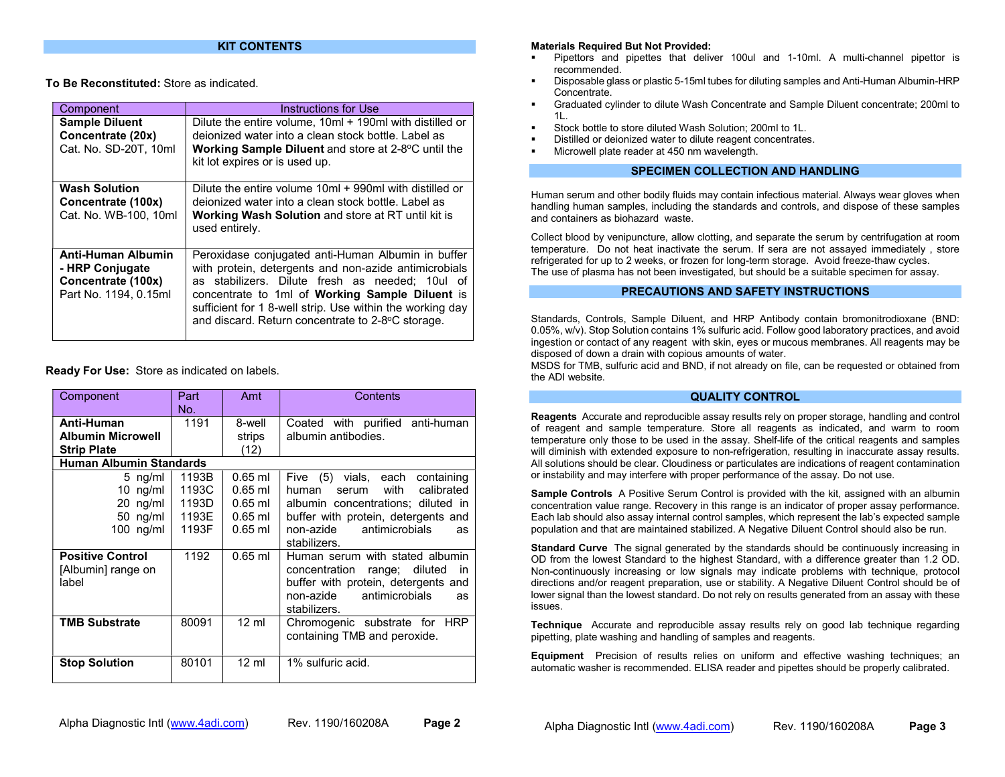### KIT CONTENTS

To Be Reconstituted: Store as indicated.

| Component                                                                                   | Instructions for Use                                                                                                                                                                                                                                                                                                                |
|---------------------------------------------------------------------------------------------|-------------------------------------------------------------------------------------------------------------------------------------------------------------------------------------------------------------------------------------------------------------------------------------------------------------------------------------|
| <b>Sample Diluent</b><br>Concentrate (20x)<br>Cat. No. SD-20T. 10ml                         | Dilute the entire volume, 10ml + 190ml with distilled or<br>deionized water into a clean stock bottle. Label as<br><b>Working Sample Diluent</b> and store at 2-8°C until the<br>kit lot expires or is used up.                                                                                                                     |
| <b>Wash Solution</b><br>Concentrate (100x)<br>Cat. No. WB-100, 10ml                         | Dilute the entire volume 10ml + 990ml with distilled or<br>deionized water into a clean stock bottle. Label as<br><b>Working Wash Solution and store at RT until kit is</b><br>used entirely.                                                                                                                                       |
| <b>Anti-Human Albumin</b><br>- HRP Conjugate<br>Concentrate (100x)<br>Part No. 1194, 0.15ml | Peroxidase conjugated anti-Human Albumin in buffer<br>with protein, detergents and non-azide antimicrobials<br>as stabilizers. Dilute fresh as needed; 10ul of<br>concentrate to 1ml of Working Sample Diluent is<br>sufficient for 1 8-well strip. Use within the working day<br>and discard. Return concentrate to 2-8°C storage. |

Ready For Use: Store as indicated on labels.

| Component                                                    | Part<br>No.                               | Amt                                                           | Contents                                                                                                                                                                                                        |
|--------------------------------------------------------------|-------------------------------------------|---------------------------------------------------------------|-----------------------------------------------------------------------------------------------------------------------------------------------------------------------------------------------------------------|
| Anti-Human<br><b>Albumin Microwell</b><br><b>Strip Plate</b> | 1191                                      | 8-well<br>strips<br>(12)                                      | Coated with purified anti-human<br>albumin antibodies.                                                                                                                                                          |
| <b>Human Albumin Standards</b>                               |                                           |                                                               |                                                                                                                                                                                                                 |
| 5 $ng/ml$<br>10 ng/ml<br>20 ng/ml<br>50 ng/ml<br>$100$ ng/ml | 1193B<br>1193C<br>1193D<br>1193E<br>1193F | $0.65$ ml<br>$0.65$ ml<br>$0.65$ ml<br>$0.65$ ml<br>$0.65$ ml | (5)<br>vials, each<br>Five<br>containing<br>with<br>calibrated<br>human<br>serum<br>albumin concentrations; diluted in<br>buffer with protein, detergents and<br>non-azide antimicrobials<br>as<br>stabilizers. |
| <b>Positive Control</b><br>[Albumin] range on<br>label       | 1192                                      | $0.65$ ml                                                     | Human serum with stated albumin<br>concentration<br>range; diluted<br>in<br>buffer with protein, detergents and<br>antimicrobials<br>non-azide<br>as<br>stabilizers.                                            |
| <b>TMB Substrate</b>                                         | 80091                                     | $12 \text{ ml}$                                               | Chromogenic substrate for<br><b>HRP</b><br>containing TMB and peroxide.                                                                                                                                         |
| <b>Stop Solution</b>                                         | 80101                                     | $12 \text{ ml}$                                               | 1% sulfuric acid.                                                                                                                                                                                               |

#### Materials Required But Not Provided:

- Pipettors and pipettes that deliver 100ul and 1-10ml. A multi-channel pipettor is recommended.
- Disposable glass or plastic 5-15ml tubes for diluting samples and Anti-Human Albumin-HRP Concentrate.
- Graduated cylinder to dilute Wash Concentrate and Sample Diluent concentrate; 200ml to 1L.
- Stock bottle to store diluted Wash Solution; 200ml to 1L.
- Distilled or deionized water to dilute reagent concentrates.
- Microwell plate reader at 450 nm wavelength.

# SPECIMEN COLLECTION AND HANDLING

Human serum and other bodily fluids may contain infectious material. Always wear gloves when handling human samples, including the standards and controls, and dispose of these samples and containers as biohazard waste.

Collect blood by venipuncture, allow clotting, and separate the serum by centrifugation at room temperature. Do not heat inactivate the serum. If sera are not assayed immediately , store refrigerated for up to 2 weeks, or frozen for long-term storage. Avoid freeze-thaw cycles. The use of plasma has not been investigated, but should be a suitable specimen for assay.

# PRECAUTIONS AND SAFETY INSTRUCTIONS

Standards, Controls, Sample Diluent, and HRP Antibody contain bromonitrodioxane (BND: 0.05%, w/v). Stop Solution contains 1% sulfuric acid. Follow good laboratory practices, and avoid ingestion or contact of any reagent with skin, eyes or mucous membranes. All reagents may be disposed of down a drain with copious amounts of water.

MSDS for TMB, sulfuric acid and BND, if not already on file, can be requested or obtained from the ADI website.

#### QUALITY CONTROL

Reagents Accurate and reproducible assay results rely on proper storage, handling and control of reagent and sample temperature. Store all reagents as indicated, and warm to room temperature only those to be used in the assay. Shelf-life of the critical reagents and samples will diminish with extended exposure to non-refrigeration, resulting in inaccurate assay results. All solutions should be clear. Cloudiness or particulates are indications of reagent contamination or instability and may interfere with proper performance of the assay. Do not use.

Sample Controls A Positive Serum Control is provided with the kit, assigned with an albumin concentration value range. Recovery in this range is an indicator of proper assay performance. Each lab should also assay internal control samples, which represent the lab's expected sample population and that are maintained stabilized. A Negative Diluent Control should also be run.

**Standard Curve** The signal generated by the standards should be continuously increasing in OD from the lowest Standard to the highest Standard, with a difference greater than 1.2 OD. Non-continuously increasing or low signals may indicate problems with technique, protocol directions and/or reagent preparation, use or stability. A Negative Diluent Control should be of lower signal than the lowest standard. Do not rely on results generated from an assay with these issues.

Technique Accurate and reproducible assay results rely on good lab technique regarding pipetting, plate washing and handling of samples and reagents.

Equipment Precision of results relies on uniform and effective washing techniques; an automatic washer is recommended. ELISA reader and pipettes should be properly calibrated.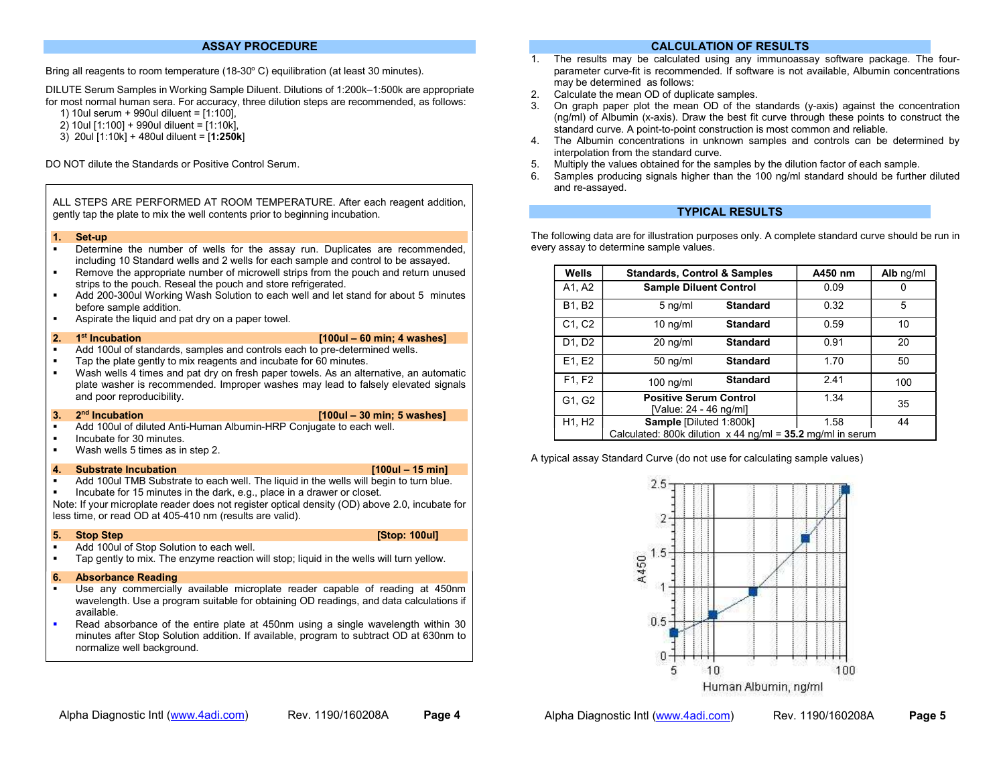#### ASSAY PROCEDURE

Bring all reagents to room temperature (18-30°C) equilibration (at least 30 minutes).

DILUTE Serum Samples in Working Sample Diluent. Dilutions of 1:200k–1:500k are appropriate for most normal human sera. For accuracy, three dilution steps are recommended, as follows:

1) 10ul serum + 990ul diluent = [1:100],

- 2) 10ul [1:100] + 990ul diluent = [1:10k],
- 3) 20ul [1:10k] + 480ul diluent = [1:250k]

DO NOT dilute the Standards or Positive Control Serum.

ALL STEPS ARE PERFORMED AT ROOM TEMPERATURE. After each reagent addition, gently tap the plate to mix the well contents prior to beginning incubation.

#### 1. Set-up

- Determine the number of wells for the assay run. Duplicates are recommended, including 10 Standard wells and 2 wells for each sample and control to be assayed.
- Remove the appropriate number of microwell strips from the pouch and return unused strips to the pouch. Reseal the pouch and store refrigerated.
- Add 200-300ul Working Wash Solution to each well and let stand for about 5 minutes before sample addition.
- Aspirate the liquid and pat dry on a paper towel.

- 2. 1st Incubation [100ul 60 min; 4 washes]
- Add 100ul of standards, samples and controls each to pre-determined wells.
- Tap the plate gently to mix reagents and incubate for 60 minutes.
- Wash wells 4 times and pat dry on fresh paper towels. As an alternative, an automatic plate washer is recommended. Improper washes may lead to falsely elevated signals and poor reproducibility.

#### $3.$   $2<sup>nd</sup>$  Incubation  $2<sup>nd</sup>$  incubation  $2<sup>nd</sup>$  incubation  $2<sup>nd</sup>$  incubation  $3<sup>nd</sup>$  incubation

- Add 100ul of diluted Anti-Human Albumin-HRP Conjugate to each well.
- Incubate for 30 minutes.
- Wash wells 5 times as in step 2.

#### 4. Substrate Incubation [100ul – 15 min]

- Add 100ul TMB Substrate to each well. The liquid in the wells will begin to turn blue.
- Incubate for 15 minutes in the dark, e.g., place in a drawer or closet.

Note: If your microplate reader does not register optical density (OD) above 2.0, incubate for less time, or read OD at 405-410 nm (results are valid).

- **5.** Stop Step **Extending Step <b>Extending Step:** 100ul]
	-
- Add 100ul of Stop Solution to each well.
- Tap gently to mix. The enzyme reaction will stop; liquid in the wells will turn yellow.

# 6. Absorbance Reading

- Use any commercially available microplate reader capable of reading at 450nm wavelength. Use a program suitable for obtaining OD readings, and data calculations if available.
- Read absorbance of the entire plate at 450nm using a single wavelength within 30 minutes after Stop Solution addition. If available, program to subtract OD at 630nm to normalize well background.

# CALCULATION OF RESULTS

- 1. The results may be calculated using any immunoassay software package. The fourparameter curve-fit is recommended. If software is not available, Albumin concentrations may be determined as follows:
- 2. Calculate the mean OD of duplicate samples.
- 3. On graph paper plot the mean OD of the standards (y-axis) against the concentration (ng/ml) of Albumin (x-axis). Draw the best fit curve through these points to construct the standard curve. A point-to-point construction is most common and reliable.
- 4. The Albumin concentrations in unknown samples and controls can be determined by interpolation from the standard curve.
- 5. Multiply the values obtained for the samples by the dilution factor of each sample.
- 6. Samples producing signals higher than the 100 ng/ml standard should be further diluted and re-assayed.

### TYPICAL RESULTS

The following data are for illustration purposes only. A complete standard curve should be run in every assay to determine sample values.

| Wells  | <b>Standards, Control &amp; Samples</b>                      | A450 nm | Alb ng/ml |
|--------|--------------------------------------------------------------|---------|-----------|
| A1, A2 | <b>Sample Diluent Control</b>                                | 0.09    | 0         |
| B1, B2 | <b>Standard</b><br>$5$ ng/ml                                 | 0.32    | 5         |
| C1, C2 | $10$ ng/ml<br><b>Standard</b>                                | 0.59    | 10        |
| D1, D2 | $20$ ng/ml<br><b>Standard</b>                                | 0.91    | 20        |
| E1, E2 | $50$ ng/ml<br><b>Standard</b>                                | 1.70    | 50        |
| F1, F2 | <b>Standard</b><br>$100$ ng/ml                               | 2.41    | 100       |
| G1, G2 | <b>Positive Serum Control</b><br>[Value: 24 - 46 ng/ml]      | 1.34    | 35        |
| H1, H2 | Sample [Diluted 1:800k]                                      | 1.58    | 44        |
|        | Calculated: 800k dilution $x$ 44 ng/ml = 35.2 mg/ml in serum |         |           |

A typical assay Standard Curve (do not use for calculating sample values)



Alpha Diagnostic Intl (www.4adi.com) Rev. 1190/160208A Page 5